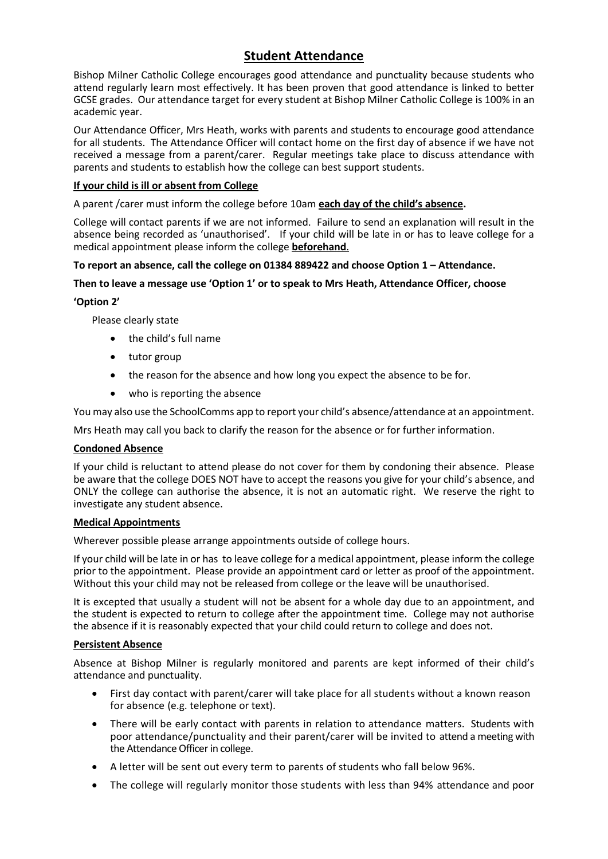# **Student Attendance**

Bishop Milner Catholic College encourages good attendance and punctuality because students who attend regularly learn most effectively. It has been proven that good attendance is linked to better GCSE grades. Our attendance target for every student at Bishop Milner Catholic College is 100% in an academic year.

Our Attendance Officer, Mrs Heath, works with parents and students to encourage good attendance for all students. The Attendance Officer will contact home on the first day of absence if we have not received a message from a parent/carer. Regular meetings take place to discuss attendance with parents and students to establish how the college can best support students.

# **If your child is ill or absent from College**

A parent /carer must inform the college before 10am **each day of the child's absence.**

College will contact parents if we are not informed. Failure to send an explanation will result in the absence being recorded as 'unauthorised'. If your child will be late in or has to leave college for a medical appointment please inform the college **beforehand**.

# **To report an absence, call the college on 01384 889422 and choose Option 1 – Attendance.**

## **Then to leave a message use 'Option 1' or to speak to Mrs Heath, Attendance Officer, choose**

# **'Option 2'**

Please clearly state

- the child's full name
- tutor group
- the reason for the absence and how long you expect the absence to be for.
- who is reporting the absence

You may also use the SchoolComms app to report your child's absence/attendance at an appointment.

Mrs Heath may call you back to clarify the reason for the absence or for further information.

## **Condoned Absence**

If your child is reluctant to attend please do not cover for them by condoning their absence. Please be aware that the college DOES NOT have to accept the reasons you give for your child's absence, and ONLY the college can authorise the absence, it is not an automatic right. We reserve the right to investigate any student absence.

## **Medical Appointments**

Wherever possible please arrange appointments outside of college hours.

If your child will be late in or has to leave college for a medical appointment, please inform the college prior to the appointment. Please provide an appointment card or letter as proof of the appointment. Without this your child may not be released from college or the leave will be unauthorised.

It is excepted that usually a student will not be absent for a whole day due to an appointment, and the student is expected to return to college after the appointment time. College may not authorise the absence if it is reasonably expected that your child could return to college and does not.

## **Persistent Absence**

Absence at Bishop Milner is regularly monitored and parents are kept informed of their child's attendance and punctuality.

- First day contact with parent/carer will take place for all students without a known reason for absence (e.g. telephone or text).
- There will be early contact with parents in relation to attendance matters. Students with poor attendance/punctuality and their parent/carer will be invited to attend a meeting with the Attendance Officer in college.
- A letter will be sent out every term to parents of students who fall below 96%.
- The college will regularly monitor those students with less than 94% attendance and poor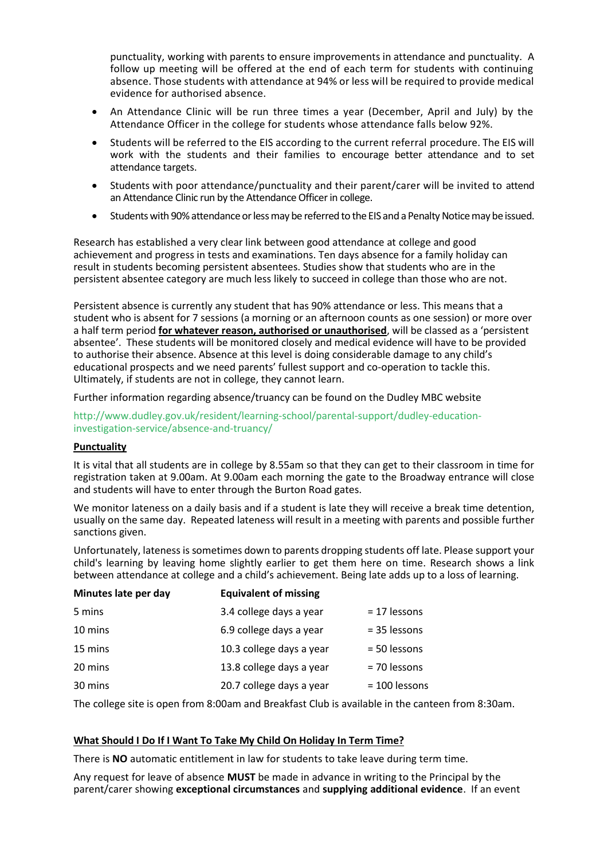punctuality, working with parents to ensure improvements in attendance and punctuality. A follow up meeting will be offered at the end of each term for students with continuing absence. Those students with attendance at 94% or less will be required to provide medical evidence for authorised absence.

- An Attendance Clinic will be run three times a year (December, April and July) by the Attendance Officer in the college for students whose attendance falls below 92%.
- Students will be referred to the EIS according to the current referral procedure. The EIS will work with the students and their families to encourage better attendance and to set attendance targets.
- Students with poor attendance/punctuality and their parent/carer will be invited to attend an Attendance Clinic run by the Attendance Officer in college.
- Students with 90% attendance or lessmay be referred to the EIS and a Penalty Notice may be issued.

Research has established a very clear link between good attendance at college and good achievement and progress in tests and examinations. Ten days absence for a family holiday can result in students becoming persistent absentees. Studies show that students who are in the persistent absentee category are much less likely to succeed in college than those who are not.

Persistent absence is currently any student that has 90% attendance or less. This means that a student who is absent for 7 sessions (a morning or an afternoon counts as one session) or more over a half term period **for whatever reason, authorised or unauthorised**, will be classed as a 'persistent absentee'. These students will be monitored closely and medical evidence will have to be provided to authorise their absence. Absence at this level is doing considerable damage to any child's educational prospects and we need parents' fullest support and co-operation to tackle this. Ultimately, if students are not in college, they cannot learn.

Further information regarding absence/truancy can be found on the Dudley MBC website

[http://www.dudley.gov.uk/resident/learning-school/parental-support/dudley-education](http://www.dudley.gov.uk/resident/learning-school/parental-support/dudley-education-investigation-service/absence-and-truancy/)[investigation-service/absence-and-truancy/](http://www.dudley.gov.uk/resident/learning-school/parental-support/dudley-education-investigation-service/absence-and-truancy/)

#### **Punctuality**

It is vital that all students are in college by 8.55am so that they can get to their classroom in time for registration taken at 9.00am. At 9.00am each morning the gate to the Broadway entrance will close and students will have to enter through the Burton Road gates.

We monitor lateness on a daily basis and if a student is late they will receive a break time detention, usually on the same day. Repeated lateness will result in a meeting with parents and possible further sanctions given.

Unfortunately, lateness is sometimes down to parents dropping students off late. Please support your child's learning by leaving home slightly earlier to get them here on time. Research shows a link between attendance at college and a child's achievement. Being late adds up to a loss of learning.

| Minutes late per day | <b>Equivalent of missing</b> |                 |
|----------------------|------------------------------|-----------------|
| 5 mins               | 3.4 college days a year      | $= 17$ lessons  |
| 10 mins              | 6.9 college days a year      | = 35 lessons    |
| 15 mins              | 10.3 college days a year     | = 50 lessons    |
| 20 mins              | 13.8 college days a year     | = 70 lessons    |
| 30 mins              | 20.7 college days a year     | $= 100$ lessons |

The college site is open from 8:00am and Breakfast Club is available in the canteen from 8:30am.

## **What Should I Do If I Want To Take My Child On Holiday In Term Time?**

There is **NO** automatic entitlement in law for students to take leave during term time.

Any request for leave of absence **MUST** be made in advance in writing to the Principal by the parent/carer showing **exceptional circumstances** and **supplying additional evidence**. If an event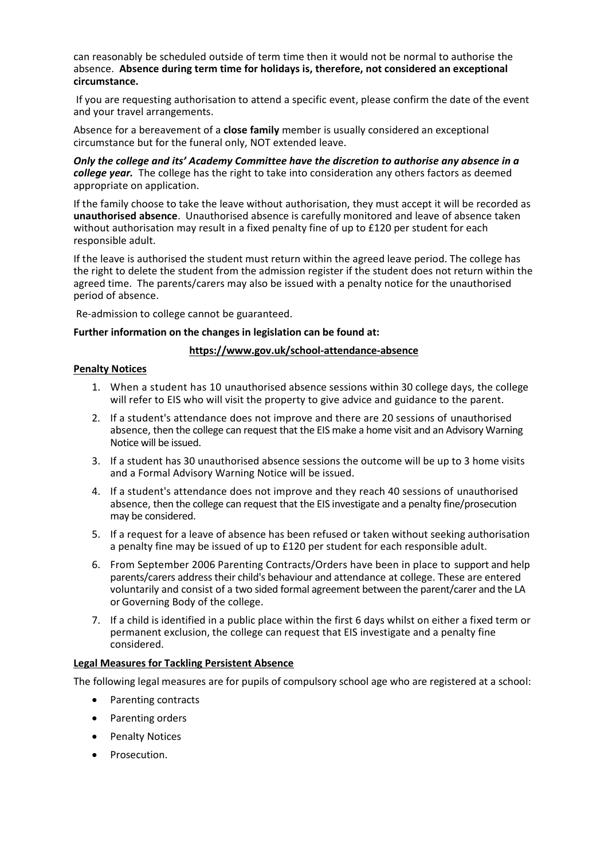can reasonably be scheduled outside of term time then it would not be normal to authorise the absence. **Absence during term time for holidays is, therefore, not considered an exceptional circumstance.** 

If you are requesting authorisation to attend a specific event, please confirm the date of the event and your travel arrangements.

Absence for a bereavement of a **close family** member is usually considered an exceptional circumstance but for the funeral only, NOT extended leave.

*Only the college and its' Academy Committee have the discretion to authorise any absence in a college year.* The college has the right to take into consideration any others factors as deemed appropriate on application.

If the family choose to take the leave without authorisation, they must accept it will be recorded as **unauthorised absence**. Unauthorised absence is carefully monitored and leave of absence taken without authorisation may result in a fixed penalty fine of up to £120 per student for each responsible adult.

If the leave is authorised the student must return within the agreed leave period. The college has the right to delete the student from the admission register if the student does not return within the agreed time. The parents/carers may also be issued with a penalty notice for the unauthorised period of absence.

Re-admission to college cannot be guaranteed.

#### **Further information on the changes in legislation can be found at:**

#### **<https://www.gov.uk/school-attendance-absence>**

#### **Penalty Notices**

- 1. When a student has 10 unauthorised absence sessions within 30 college days, the college will refer to EIS who will visit the property to give advice and guidance to the parent.
- 2. If a student's attendance does not improve and there are 20 sessions of unauthorised absence, then the college can request that the EIS make a home visit and an Advisory Warning Notice will be issued.
- 3. If a student has 30 unauthorised absence sessions the outcome will be up to 3 home visits and a Formal Advisory Warning Notice will be issued.
- 4. If a student's attendance does not improve and they reach 40 sessions of unauthorised absence, then the college can request that the EIS investigate and a penalty fine/prosecution may be considered.
- 5. If a request for a leave of absence has been refused or taken without seeking authorisation a penalty fine may be issued of up to £120 per student for each responsible adult.
- 6. From September 2006 Parenting Contracts/Orders have been in place to support and help parents/carers address their child's behaviour and attendance at college. These are entered voluntarily and consist of a two sided formal agreement between the parent/carer and the LA or Governing Body of the college.
- 7. If a child is identified in a public place within the first 6 days whilst on either a fixed term or permanent exclusion, the college can request that EIS investigate and a penalty fine considered.

## **Legal Measures for Tackling Persistent Absence**

The following legal measures are for pupils of compulsory school age who are registered at a school:

- Parenting contracts
- Parenting orders
- Penalty Notices
- Prosecution.